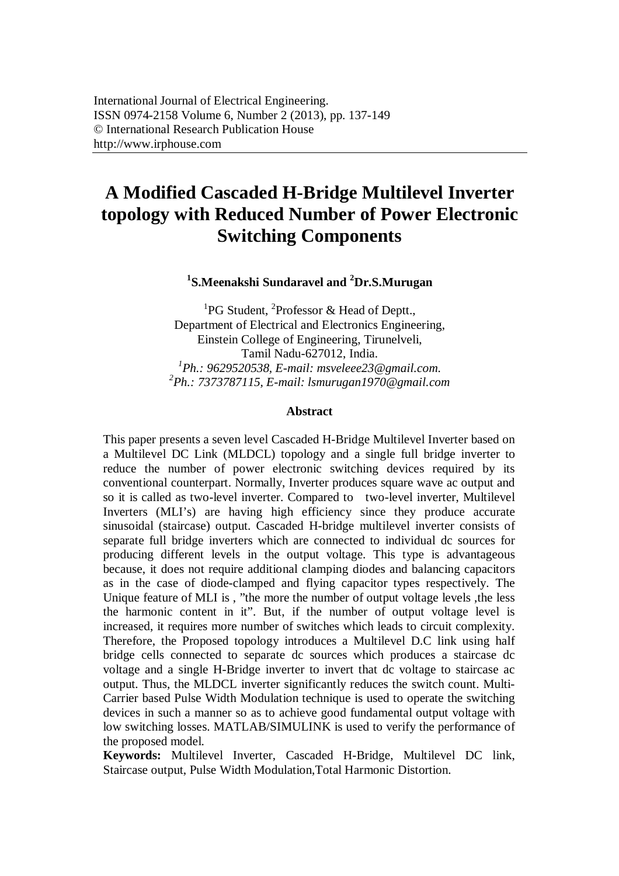# **A Modified Cascaded H-Bridge Multilevel Inverter topology with Reduced Number of Power Electronic Switching Components**

# **1 S.Meenakshi Sundaravel and <sup>2</sup>Dr.S.Murugan**

<sup>1</sup>PG Student, <sup>2</sup>Professor & Head of Deptt., Department of Electrical and Electronics Engineering, Einstein College of Engineering, Tirunelveli, Tamil Nadu-627012, India. *1 Ph.: 9629520538, E-mail: msveleee23@gmail.com. 2 Ph.: 7373787115, E-mail: lsmurugan1970@gmail.com*

#### **Abstract**

This paper presents a seven level Cascaded H-Bridge Multilevel Inverter based on a Multilevel DC Link (MLDCL) topology and a single full bridge inverter to reduce the number of power electronic switching devices required by its conventional counterpart. Normally, Inverter produces square wave ac output and so it is called as two-level inverter. Compared to two-level inverter, Multilevel Inverters (MLI's) are having high efficiency since they produce accurate sinusoidal (staircase) output. Cascaded H-bridge multilevel inverter consists of separate full bridge inverters which are connected to individual dc sources for producing different levels in the output voltage. This type is advantageous because, it does not require additional clamping diodes and balancing capacitors as in the case of diode-clamped and flying capacitor types respectively. The Unique feature of MLI is , "the more the number of output voltage levels ,the less the harmonic content in it". But, if the number of output voltage level is increased, it requires more number of switches which leads to circuit complexity. Therefore, the Proposed topology introduces a Multilevel D.C link using half bridge cells connected to separate dc sources which produces a staircase dc voltage and a single H-Bridge inverter to invert that dc voltage to staircase ac output. Thus, the MLDCL inverter significantly reduces the switch count. Multi-Carrier based Pulse Width Modulation technique is used to operate the switching devices in such a manner so as to achieve good fundamental output voltage with low switching losses. MATLAB/SIMULINK is used to verify the performance of the proposed model.

**Keywords:** Multilevel Inverter, Cascaded H-Bridge, Multilevel DC link, Staircase output, Pulse Width Modulation,Total Harmonic Distortion.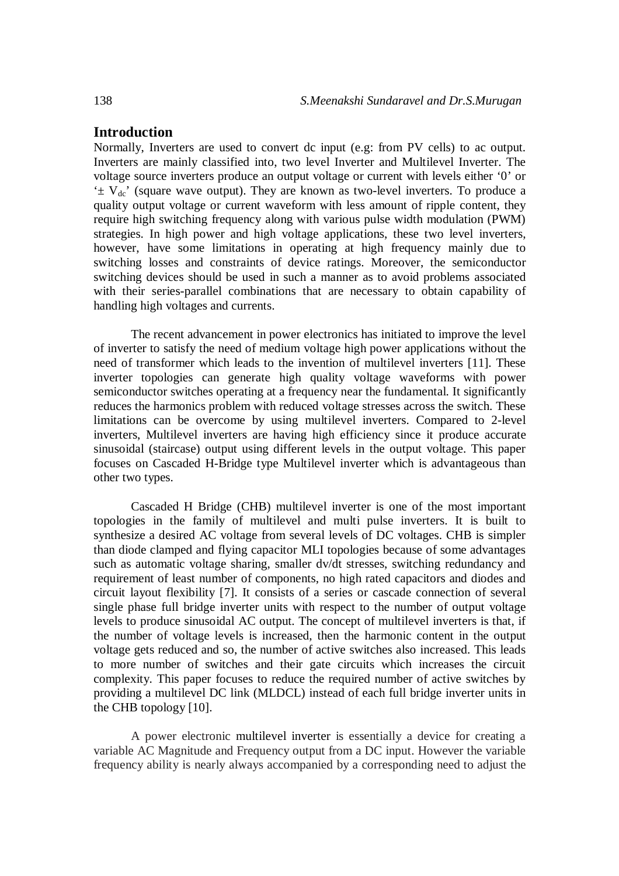# **Introduction**

Normally, Inverters are used to convert dc input (e.g: from PV cells) to ac output. Inverters are mainly classified into, two level Inverter and Multilevel Inverter. The voltage source inverters produce an output voltage or current with levels either '0' or  $\pm V_{dc}$ ' (square wave output). They are known as two-level inverters. To produce a quality output voltage or current waveform with less amount of ripple content, they require high switching frequency along with various pulse width modulation (PWM) strategies. In high power and high voltage applications, these two level inverters, however, have some limitations in operating at high frequency mainly due to switching losses and constraints of device ratings. Moreover, the semiconductor switching devices should be used in such a manner as to avoid problems associated with their series-parallel combinations that are necessary to obtain capability of handling high voltages and currents.

The recent advancement in power electronics has initiated to improve the level of inverter to satisfy the need of medium voltage high power applications without the need of transformer which leads to the invention of multilevel inverters [11]. These inverter topologies can generate high quality voltage waveforms with power semiconductor switches operating at a frequency near the fundamental. It significantly reduces the harmonics problem with reduced voltage stresses across the switch. These limitations can be overcome by using multilevel inverters. Compared to 2-level inverters, Multilevel inverters are having high efficiency since it produce accurate sinusoidal (staircase) output using different levels in the output voltage. This paper focuses on Cascaded H-Bridge type Multilevel inverter which is advantageous than other two types.

Cascaded H Bridge (CHB) multilevel inverter is one of the most important topologies in the family of multilevel and multi pulse inverters. It is built to synthesize a desired AC voltage from several levels of DC voltages. CHB is simpler than diode clamped and flying capacitor MLI topologies because of some advantages such as automatic voltage sharing, smaller dv/dt stresses, switching redundancy and requirement of least number of components, no high rated capacitors and diodes and circuit layout flexibility [7]. It consists of a series or cascade connection of several single phase full bridge inverter units with respect to the number of output voltage levels to produce sinusoidal AC output. The concept of multilevel inverters is that, if the number of voltage levels is increased, then the harmonic content in the output voltage gets reduced and so, the number of active switches also increased. This leads to more number of switches and their gate circuits which increases the circuit complexity. This paper focuses to reduce the required number of active switches by providing a multilevel DC link (MLDCL) instead of each full bridge inverter units in the CHB topology [10].

A power electronic multilevel inverter is essentially a device for creating a variable AC Magnitude and Frequency output from a DC input. However the variable frequency ability is nearly always accompanied by a corresponding need to adjust the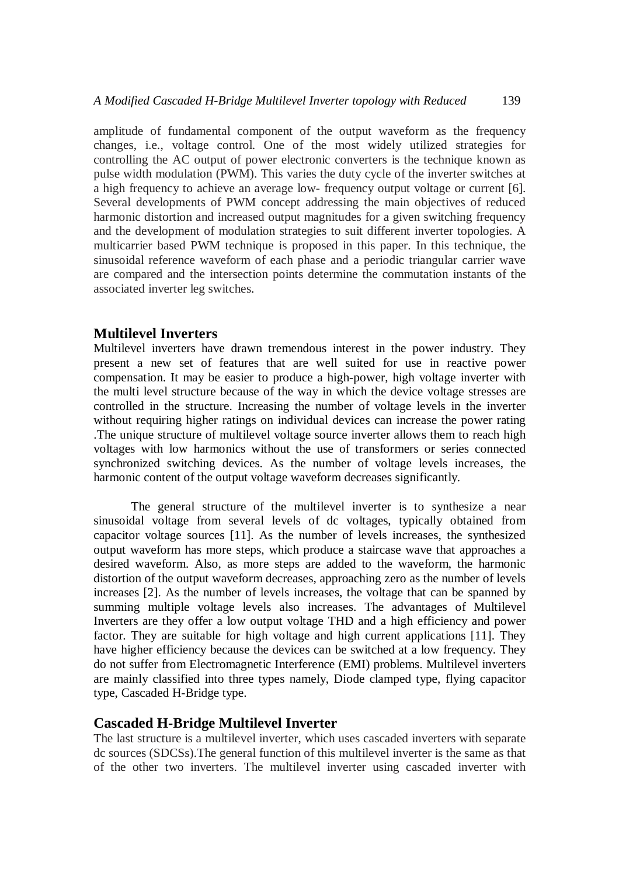amplitude of fundamental component of the output waveform as the frequency changes, i.e., voltage control. One of the most widely utilized strategies for controlling the AC output of power electronic converters is the technique known as pulse width modulation (PWM). This varies the duty cycle of the inverter switches at a high frequency to achieve an average low- frequency output voltage or current [6]. Several developments of PWM concept addressing the main objectives of reduced harmonic distortion and increased output magnitudes for a given switching frequency and the development of modulation strategies to suit different inverter topologies. A multicarrier based PWM technique is proposed in this paper. In this technique, the sinusoidal reference waveform of each phase and a periodic triangular carrier wave are compared and the intersection points determine the commutation instants of the associated inverter leg switches.

## **Multilevel Inverters**

Multilevel inverters have drawn tremendous interest in the power industry. They present a new set of features that are well suited for use in reactive power compensation. It may be easier to produce a high-power, high voltage inverter with the multi level structure because of the way in which the device voltage stresses are controlled in the structure. Increasing the number of voltage levels in the inverter without requiring higher ratings on individual devices can increase the power rating .The unique structure of multilevel voltage source inverter allows them to reach high voltages with low harmonics without the use of transformers or series connected synchronized switching devices. As the number of voltage levels increases, the harmonic content of the output voltage waveform decreases significantly.

The general structure of the multilevel inverter is to synthesize a near sinusoidal voltage from several levels of dc voltages, typically obtained from capacitor voltage sources [11]. As the number of levels increases, the synthesized output waveform has more steps, which produce a staircase wave that approaches a desired waveform. Also, as more steps are added to the waveform, the harmonic distortion of the output waveform decreases, approaching zero as the number of levels increases [2]. As the number of levels increases, the voltage that can be spanned by summing multiple voltage levels also increases. The advantages of Multilevel Inverters are they offer a low output voltage THD and a high efficiency and power factor. They are suitable for high voltage and high current applications [11]. They have higher efficiency because the devices can be switched at a low frequency. They do not suffer from Electromagnetic Interference (EMI) problems. Multilevel inverters are mainly classified into three types namely, Diode clamped type, flying capacitor type, Cascaded H-Bridge type.

## **Cascaded H-Bridge Multilevel Inverter**

The last structure is a multilevel inverter, which uses cascaded inverters with separate dc sources (SDCSs).The general function of this multilevel inverter is the same as that of the other two inverters. The multilevel inverter using cascaded inverter with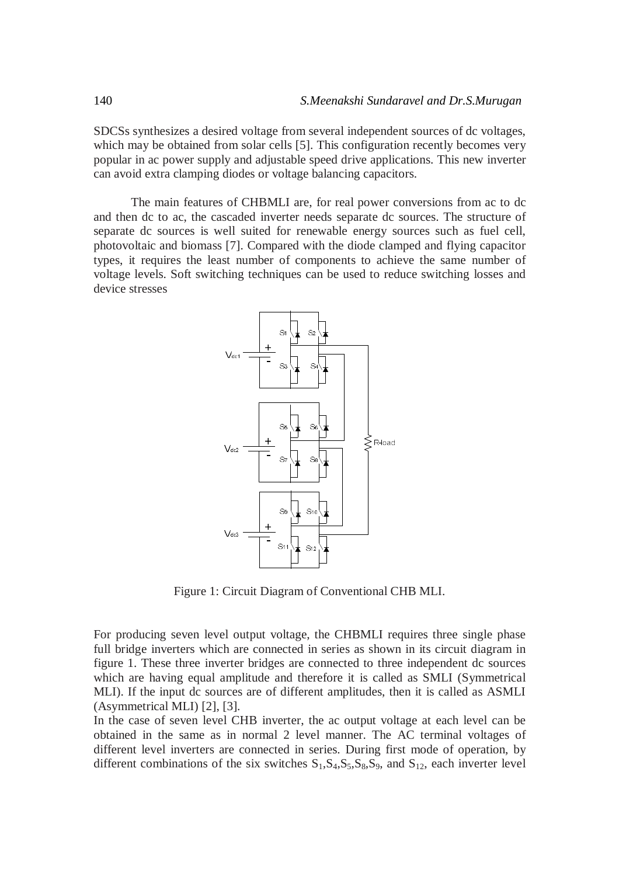SDCSs synthesizes a desired voltage from several independent sources of dc voltages, which may be obtained from solar cells [5]. This configuration recently becomes very popular in ac power supply and adjustable speed drive applications. This new inverter can avoid extra clamping diodes or voltage balancing capacitors.

The main features of CHBMLI are, for real power conversions from ac to dc and then dc to ac, the cascaded inverter needs separate dc sources. The structure of separate dc sources is well suited for renewable energy sources such as fuel cell, photovoltaic and biomass [7]. Compared with the diode clamped and flying capacitor types, it requires the least number of components to achieve the same number of voltage levels. Soft switching techniques can be used to reduce switching losses and device stresses



Figure 1: Circuit Diagram of Conventional CHB MLI.

For producing seven level output voltage, the CHBMLI requires three single phase full bridge inverters which are connected in series as shown in its circuit diagram in figure 1. These three inverter bridges are connected to three independent dc sources which are having equal amplitude and therefore it is called as SMLI (Symmetrical MLI). If the input dc sources are of different amplitudes, then it is called as ASMLI (Asymmetrical MLI) [2], [3].

In the case of seven level CHB inverter, the ac output voltage at each level can be obtained in the same as in normal 2 level manner. The AC terminal voltages of different level inverters are connected in series. During first mode of operation, by different combinations of the six switches  $S_1$ ,  $S_4$ ,  $S_5$ ,  $S_8$ ,  $S_9$ , and  $S_{12}$ , each inverter level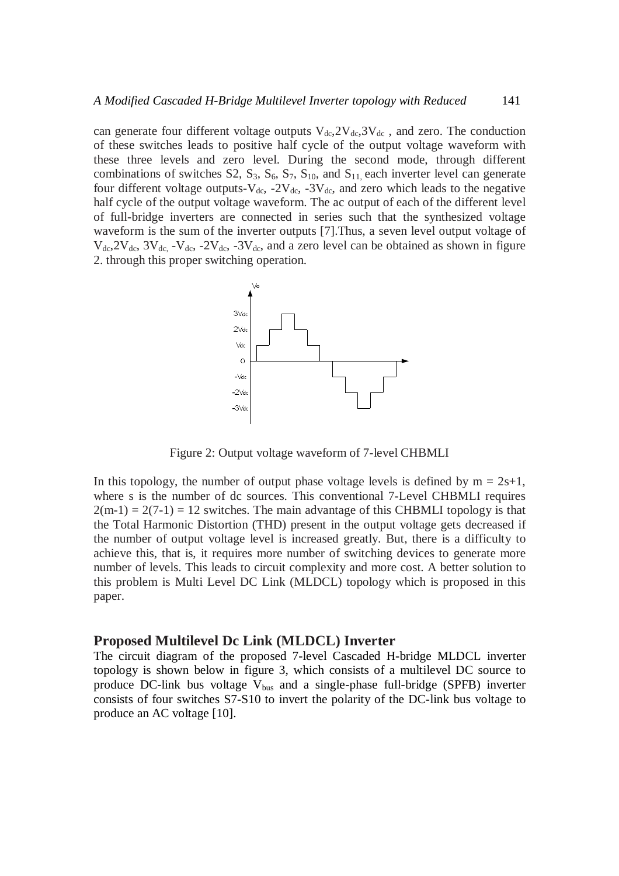can generate four different voltage outputs  $V_{dc}$ ,  $2V_{dc}$ ,  $3V_{dc}$ , and zero. The conduction of these switches leads to positive half cycle of the output voltage waveform with these three levels and zero level. During the second mode, through different combinations of switches S2,  $S_3$ ,  $S_6$ ,  $S_7$ ,  $S_{10}$ , and  $S_{11}$  each inverter level can generate four different voltage outputs- $V_{dc}$ , -2 $V_{dc}$ , -3 $V_{dc}$ , and zero which leads to the negative half cycle of the output voltage waveform. The ac output of each of the different level of full-bridge inverters are connected in series such that the synthesized voltage waveform is the sum of the inverter outputs [7].Thus, a seven level output voltage of  $V_{dc}$ ,  $2V_{dc}$ ,  $3V_{dc}$ ,  $-V_{dc}$ ,  $-2V_{dc}$ ,  $-3V_{dc}$ , and a zero level can be obtained as shown in figure 2. through this proper switching operation.



Figure 2: Output voltage waveform of 7-level CHBMLI

In this topology, the number of output phase voltage levels is defined by  $m = 2s+1$ , where s is the number of dc sources. This conventional 7-Level CHBMLI requires  $2(m-1) = 2(7-1) = 12$  switches. The main advantage of this CHBMLI topology is that the Total Harmonic Distortion (THD) present in the output voltage gets decreased if the number of output voltage level is increased greatly. But, there is a difficulty to achieve this, that is, it requires more number of switching devices to generate more number of levels. This leads to circuit complexity and more cost. A better solution to this problem is Multi Level DC Link (MLDCL) topology which is proposed in this paper.

#### **Proposed Multilevel Dc Link (MLDCL) Inverter**

The circuit diagram of the proposed 7-level Cascaded H-bridge MLDCL inverter topology is shown below in figure 3, which consists of a multilevel DC source to produce DC-link bus voltage  $V_{bus}$  and a single-phase full-bridge (SPFB) inverter consists of four switches S7-S10 to invert the polarity of the DC-link bus voltage to produce an AC voltage [10].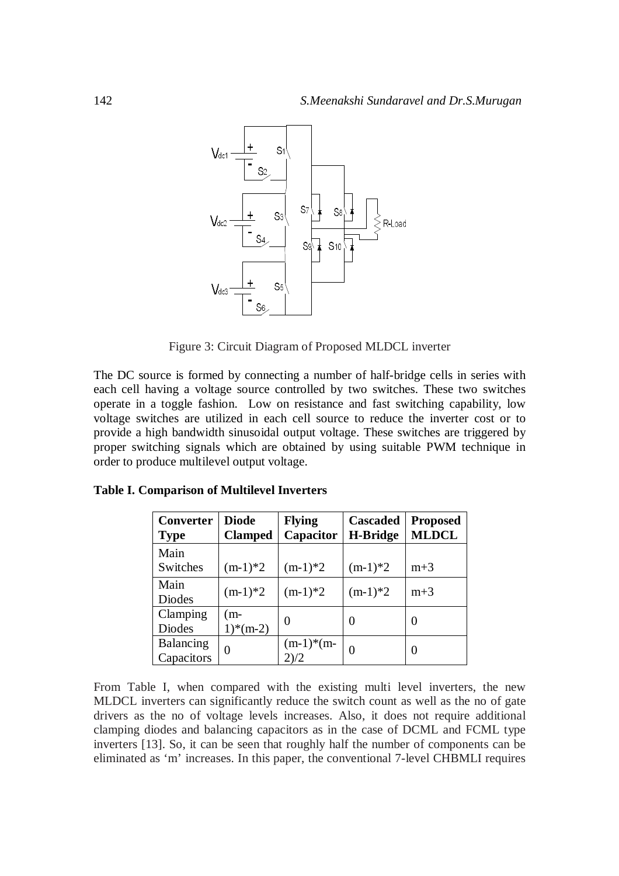

Figure 3: Circuit Diagram of Proposed MLDCL inverter

The DC source is formed by connecting a number of half-bridge cells in series with each cell having a voltage source controlled by two switches. These two switches operate in a toggle fashion. Low on resistance and fast switching capability, low voltage switches are utilized in each cell source to reduce the inverter cost or to provide a high bandwidth sinusoidal output voltage. These switches are triggered by proper switching signals which are obtained by using suitable PWM technique in order to produce multilevel output voltage.

| Converter<br><b>Type</b>  | <b>Diode</b><br><b>Clamped</b> | <b>Flying</b><br>Capacitor | Cascaded<br><b>H-Bridge</b> | <b>Proposed</b><br><b>MLDCL</b> |
|---------------------------|--------------------------------|----------------------------|-----------------------------|---------------------------------|
| Main<br>Switches          | $(m-1)*2$                      | $(m-1)*2$                  | $(m-1)*2$                   | $m+3$                           |
| Main<br>Diodes            | $(m-1)*2$                      | $(m-1)*2$                  | $(m-1)*2$                   | $m+3$                           |
| Clamping<br><b>Diodes</b> | (m-<br>$1)*(m-2)$              | $\Omega$                   | $\theta$                    | 0                               |
| Balancing<br>Capacitors   | $\overline{0}$                 | $(m-1)*(m-$<br>2)/2        | 0                           | 0                               |

**Table I. Comparison of Multilevel Inverters**

From Table I, when compared with the existing multi level inverters, the new MLDCL inverters can significantly reduce the switch count as well as the no of gate drivers as the no of voltage levels increases. Also, it does not require additional clamping diodes and balancing capacitors as in the case of DCML and FCML type inverters [13]. So, it can be seen that roughly half the number of components can be eliminated as 'm' increases. In this paper, the conventional 7-level CHBMLI requires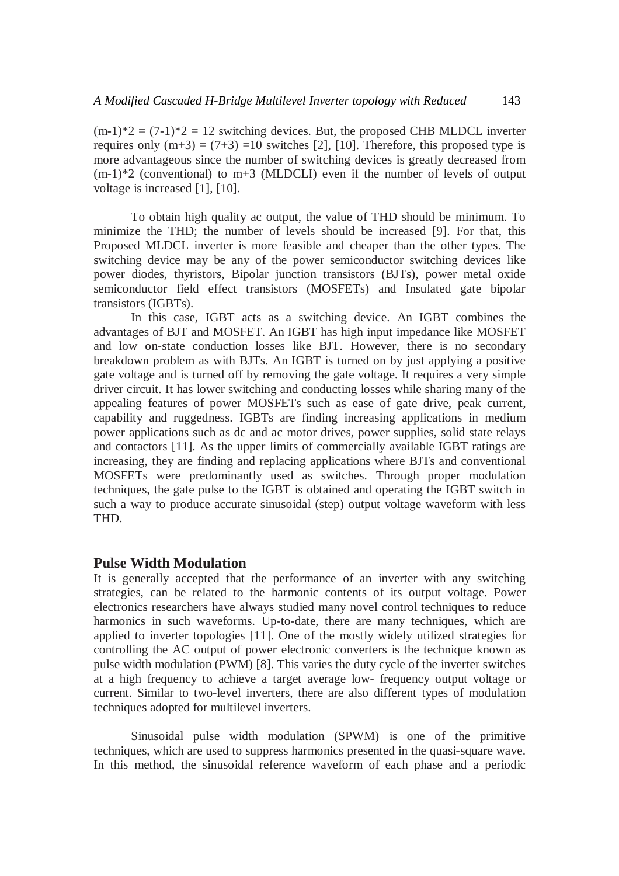$(m-1)*2 = (7-1)*2 = 12$  switching devices. But, the proposed CHB MLDCL inverter requires only  $(m+3) = (7+3) = 10$  switches [2], [10]. Therefore, this proposed type is more advantageous since the number of switching devices is greatly decreased from  $(m-1)*2$  (conventional) to  $m+3$  (MLDCLI) even if the number of levels of output voltage is increased [1], [10].

To obtain high quality ac output, the value of THD should be minimum. To minimize the THD; the number of levels should be increased [9]. For that, this Proposed MLDCL inverter is more feasible and cheaper than the other types. The switching device may be any of the power semiconductor switching devices like power diodes, thyristors, Bipolar junction transistors (BJTs), power metal oxide semiconductor field effect transistors (MOSFETs) and Insulated gate bipolar transistors (IGBTs).

In this case, IGBT acts as a switching device. An IGBT combines the advantages of BJT and MOSFET. An IGBT has high input impedance like MOSFET and low on-state conduction losses like BJT. However, there is no secondary breakdown problem as with BJTs. An IGBT is turned on by just applying a positive gate voltage and is turned off by removing the gate voltage. It requires a very simple driver circuit. It has lower switching and conducting losses while sharing many of the appealing features of power MOSFETs such as ease of gate drive, peak current, capability and ruggedness. IGBTs are finding increasing applications in medium power applications such as dc and ac motor drives, power supplies, solid state relays and contactors [11]. As the upper limits of commercially available IGBT ratings are increasing, they are finding and replacing applications where BJTs and conventional MOSFETs were predominantly used as switches. Through proper modulation techniques, the gate pulse to the IGBT is obtained and operating the IGBT switch in such a way to produce accurate sinusoidal (step) output voltage waveform with less THD.

# **Pulse Width Modulation**

It is generally accepted that the performance of an inverter with any switching strategies, can be related to the harmonic contents of its output voltage. Power electronics researchers have always studied many novel control techniques to reduce harmonics in such waveforms. Up-to-date, there are many techniques, which are applied to inverter topologies [11]. One of the mostly widely utilized strategies for controlling the AC output of power electronic converters is the technique known as pulse width modulation (PWM) [8]. This varies the duty cycle of the inverter switches at a high frequency to achieve a target average low- frequency output voltage or current. Similar to two-level inverters, there are also different types of modulation techniques adopted for multilevel inverters.

Sinusoidal pulse width modulation (SPWM) is one of the primitive techniques, which are used to suppress harmonics presented in the quasi-square wave. In this method, the sinusoidal reference waveform of each phase and a periodic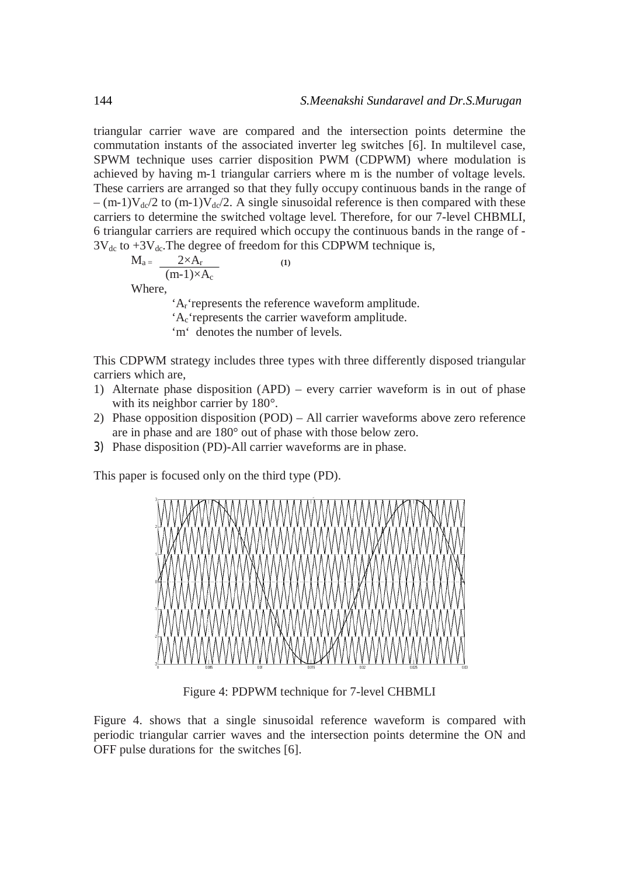triangular carrier wave are compared and the intersection points determine the commutation instants of the associated inverter leg switches [6]. In multilevel case, SPWM technique uses carrier disposition PWM (CDPWM) where modulation is achieved by having m-1 triangular carriers where m is the number of voltage levels. These carriers are arranged so that they fully occupy continuous bands in the range of  $-(m-1)V_{\text{dc}}/2$  to  $(m-1)V_{\text{dc}}/2$ . A single sinusoidal reference is then compared with these carriers to determine the switched voltage level. Therefore, for our 7-level CHBMLI, 6 triangular carriers are required which occupy the continuous bands in the range of -  $3V_{dc}$  to  $+3V_{dc}$ . The degree of freedom for this CDPWM technique is,

$$
M_{a} = \frac{2 \times A_r}{(m-1) \times A_c}
$$
 (1)  
Where,

'Ar'represents the reference waveform amplitude.

'Ac'represents the carrier waveform amplitude.

'm' denotes the number of levels.

This CDPWM strategy includes three types with three differently disposed triangular carriers which are,

- 1) Alternate phase disposition (APD) every carrier waveform is in out of phase with its neighbor carrier by 180°.
- 2) Phase opposition disposition (POD) All carrier waveforms above zero reference are in phase and are 180° out of phase with those below zero.
- 3) Phase disposition (PD)-All carrier waveforms are in phase.

This paper is focused only on the third type (PD).



Figure 4: PDPWM technique for 7-level CHBMLI

Figure 4. shows that a single sinusoidal reference waveform is compared with periodic triangular carrier waves and the intersection points determine the ON and OFF pulse durations for the switches [6].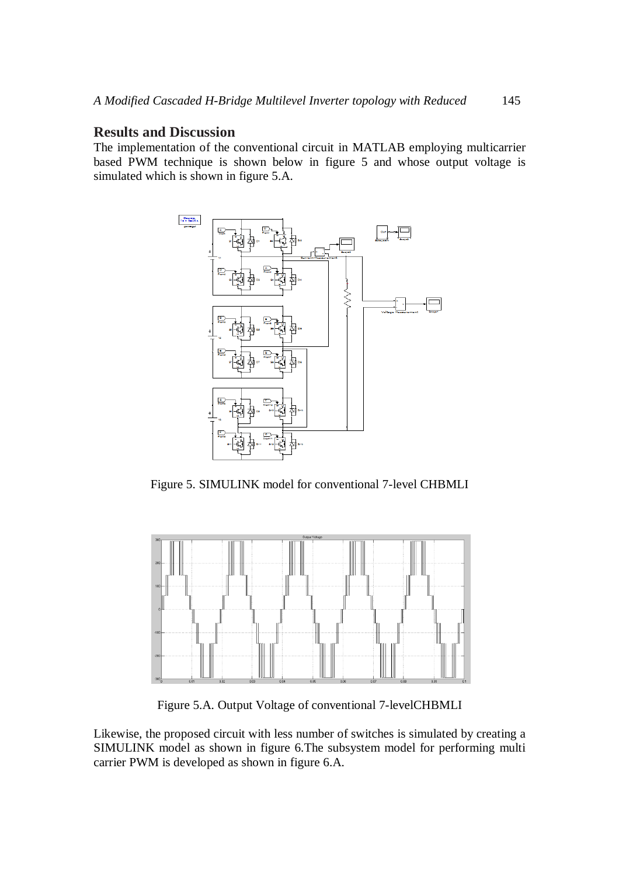## **Results and Discussion**

The implementation of the conventional circuit in MATLAB employing multicarrier based PWM technique is shown below in figure 5 and whose output voltage is simulated which is shown in figure 5.A.



Figure 5. SIMULINK model for conventional 7-level CHBMLI



Figure 5.A. Output Voltage of conventional 7-levelCHBMLI

Likewise, the proposed circuit with less number of switches is simulated by creating a SIMULINK model as shown in figure 6.The subsystem model for performing multi carrier PWM is developed as shown in figure 6.A.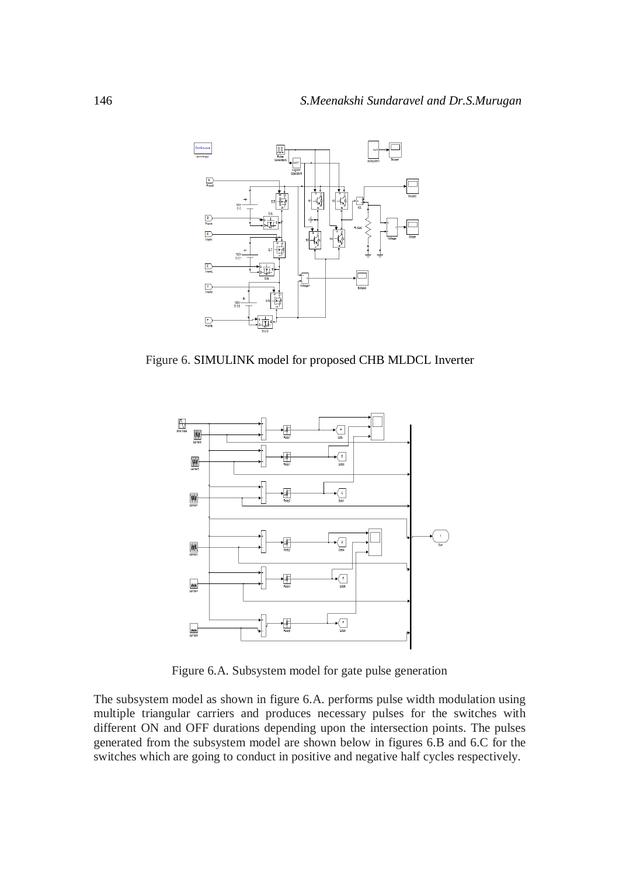

Figure 6. SIMULINK model for proposed CHB MLDCL Inverter



Figure 6.A. Subsystem model for gate pulse generation

The subsystem model as shown in figure 6.A. performs pulse width modulation using multiple triangular carriers and produces necessary pulses for the switches with different ON and OFF durations depending upon the intersection points. The pulses generated from the subsystem model are shown below in figures 6.B and 6.C for the switches which are going to conduct in positive and negative half cycles respectively.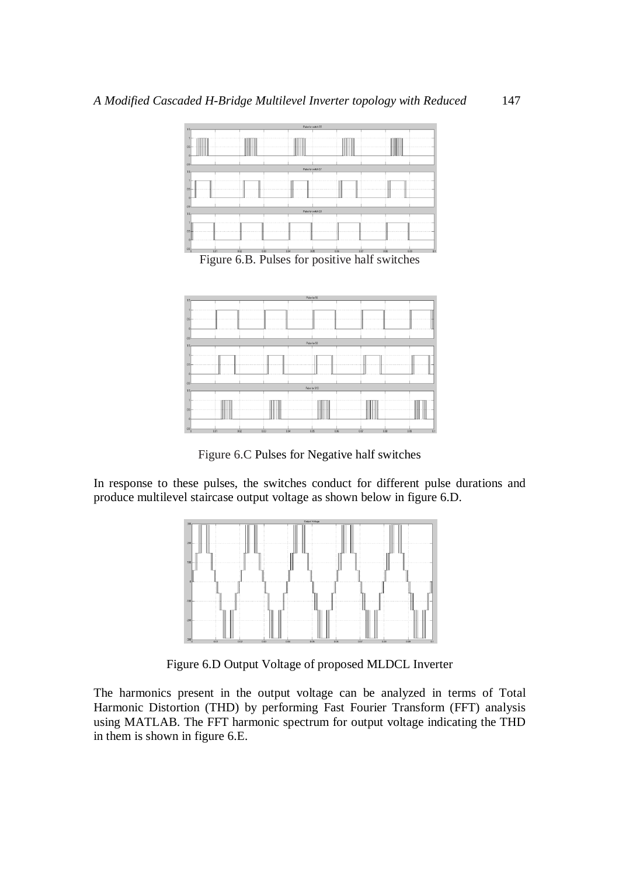

Figure 6.B. Pulses for positive half switches



Figure 6.C Pulses for Negative half switches

In response to these pulses, the switches conduct for different pulse durations and produce multilevel staircase output voltage as shown below in figure 6.D.



Figure 6.D Output Voltage of proposed MLDCL Inverter

The harmonics present in the output voltage can be analyzed in terms of Total Harmonic Distortion (THD) by performing Fast Fourier Transform (FFT) analysis using MATLAB. The FFT harmonic spectrum for output voltage indicating the THD in them is shown in figure 6.E.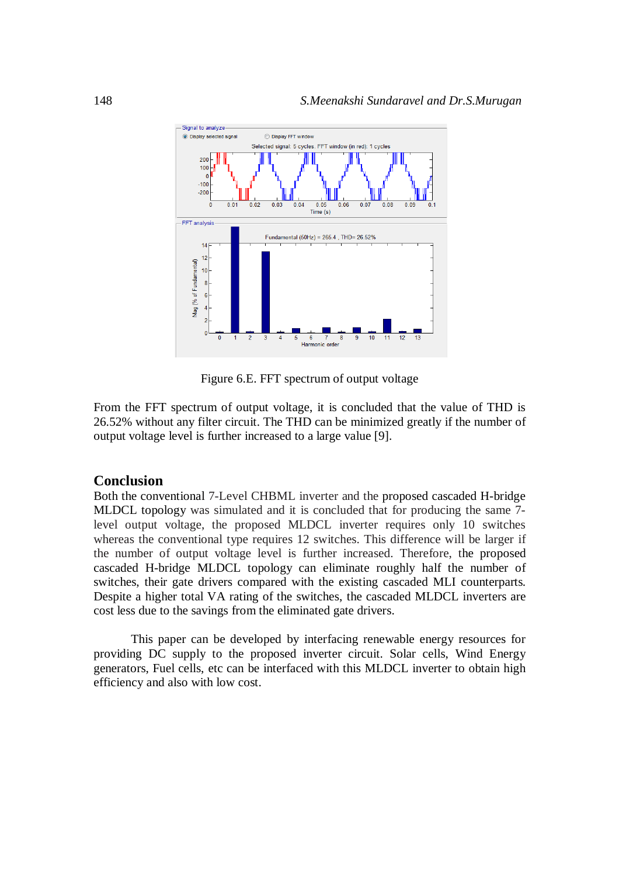

Figure 6.E. FFT spectrum of output voltage

From the FFT spectrum of output voltage, it is concluded that the value of THD is 26.52% without any filter circuit. The THD can be minimized greatly if the number of output voltage level is further increased to a large value [9].

# **Conclusion**

Both the conventional 7-Level CHBML inverter and the proposed cascaded H-bridge MLDCL topology was simulated and it is concluded that for producing the same 7 level output voltage, the proposed MLDCL inverter requires only 10 switches whereas the conventional type requires 12 switches. This difference will be larger if the number of output voltage level is further increased. Therefore, the proposed cascaded H-bridge MLDCL topology can eliminate roughly half the number of switches, their gate drivers compared with the existing cascaded MLI counterparts. Despite a higher total VA rating of the switches, the cascaded MLDCL inverters are cost less due to the savings from the eliminated gate drivers.

This paper can be developed by interfacing renewable energy resources for providing DC supply to the proposed inverter circuit. Solar cells, Wind Energy generators, Fuel cells, etc can be interfaced with this MLDCL inverter to obtain high efficiency and also with low cost.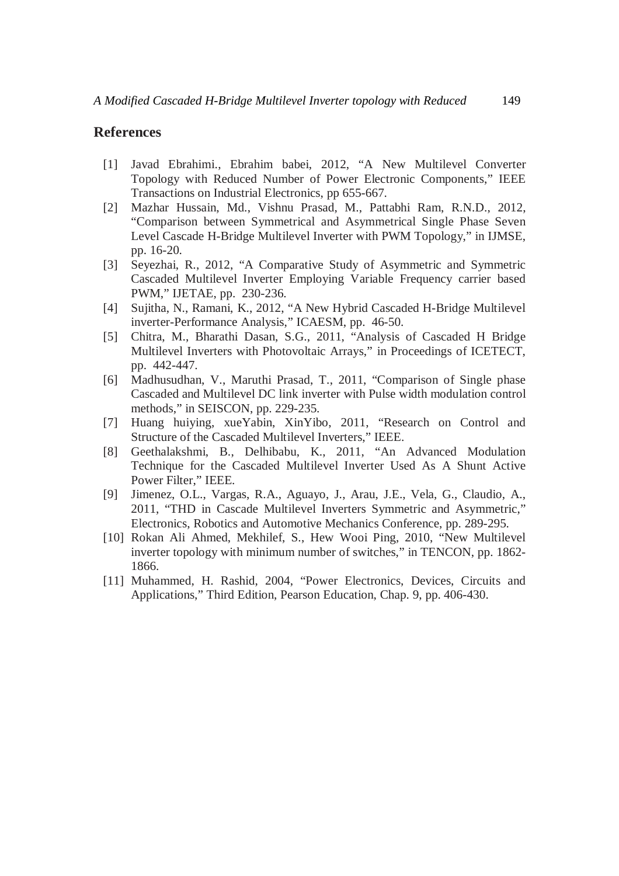# **References**

- [1] Javad Ebrahimi., Ebrahim babei, 2012, "A New Multilevel Converter Topology with Reduced Number of Power Electronic Components," IEEE Transactions on Industrial Electronics, pp 655-667.
- [2] Mazhar Hussain, Md., Vishnu Prasad, M., Pattabhi Ram, R.N.D., 2012, "Comparison between Symmetrical and Asymmetrical Single Phase Seven Level Cascade H-Bridge Multilevel Inverter with PWM Topology," in IJMSE, pp. 16-20.
- [3] Seyezhai, R., 2012, "A Comparative Study of Asymmetric and Symmetric Cascaded Multilevel Inverter Employing Variable Frequency carrier based PWM," IJETAE, pp. 230-236.
- [4] Sujitha, N., Ramani, K., 2012, "A New Hybrid Cascaded H-Bridge Multilevel inverter-Performance Analysis," ICAESM, pp. 46-50.
- [5] Chitra, M., Bharathi Dasan, S.G., 2011, "Analysis of Cascaded H Bridge Multilevel Inverters with Photovoltaic Arrays," in Proceedings of ICETECT, pp. 442-447.
- [6] Madhusudhan, V., Maruthi Prasad, T., 2011, "Comparison of Single phase Cascaded and Multilevel DC link inverter with Pulse width modulation control methods," in SEISCON, pp. 229-235.
- [7] Huang huiying, xueYabin, XinYibo, 2011, "Research on Control and Structure of the Cascaded Multilevel Inverters," IEEE.
- [8] Geethalakshmi, B., Delhibabu, K., 2011, "An Advanced Modulation Technique for the Cascaded Multilevel Inverter Used As A Shunt Active Power Filter," IEEE.
- [9] Jimenez, O.L., Vargas, R.A., Aguayo, J., Arau, J.E., Vela, G., Claudio, A., 2011, "THD in Cascade Multilevel Inverters Symmetric and Asymmetric," Electronics, Robotics and Automotive Mechanics Conference, pp. 289-295.
- [10] Rokan Ali Ahmed, Mekhilef, S., Hew Wooi Ping, 2010, "New Multilevel inverter topology with minimum number of switches," in TENCON, pp. 1862- 1866.
- [11] Muhammed, H. Rashid, 2004, "Power Electronics, Devices, Circuits and Applications," Third Edition, Pearson Education, Chap. 9, pp. 406-430.